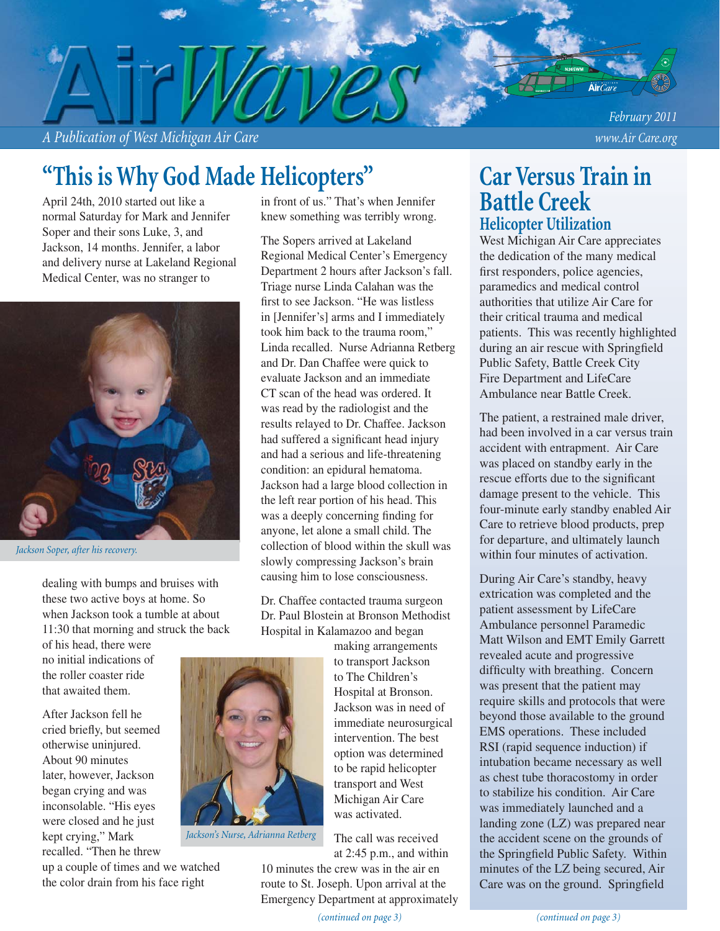*A Publication of West Michigan Air Care www.Air Care.org*

*February 2011*

# **"This is Why God Made Helicopters"**

April 24th, 2010 started out like a normal Saturday for Mark and Jennifer Soper and their sons Luke, 3, and Jackson, 14 months. Jennifer, a labor and delivery nurse at Lakeland Regional Medical Center, was no stranger to



*Jackson Soper, after his recovery.*

dealing with bumps and bruises with these two active boys at home. So when Jackson took a tumble at about 11:30 that morning and struck the back

of his head, there were no initial indications of the roller coaster ride that awaited them.

After Jackson fell he cried briefly, but seemed otherwise uninjured. About 90 minutes later, however, Jackson began crying and was inconsolable. "His eyes were closed and he just kept crying," Mark recalled. "Then he threw

up a couple of times and we watched the color drain from his face right

in front of us." That's when Jennifer knew something was terribly wrong.

The Sopers arrived at Lakeland Regional Medical Center's Emergency Department 2 hours after Jackson's fall. Triage nurse Linda Calahan was the first to see Jackson. "He was listless in [Jennifer's] arms and I immediately took him back to the trauma room," Linda recalled. Nurse Adrianna Retberg and Dr. Dan Chaffee were quick to evaluate Jackson and an immediate CT scan of the head was ordered. It was read by the radiologist and the results relayed to Dr. Chaffee. Jackson had suffered a significant head injury and had a serious and life-threatening condition: an epidural hematoma. Jackson had a large blood collection in the left rear portion of his head. This was a deeply concerning finding for anyone, let alone a small child. The collection of blood within the skull was slowly compressing Jackson's brain causing him to lose consciousness.

Dr. Chaffee contacted trauma surgeon Dr. Paul Blostein at Bronson Methodist Hospital in Kalamazoo and began

> making arrangements to transport Jackson to The Children's Hospital at Bronson. Jackson was in need of immediate neurosurgical intervention. The best option was determined to be rapid helicopter transport and West Michigan Air Care was activated.

The call was received at 2:45 p.m., and within

10 minutes the crew was in the air en route to St. Joseph. Upon arrival at the Emergency Department at approximately

### **Car Versus Train in Battle Creek Helicopter Utilization**

West Michigan Air Care appreciates the dedication of the many medical first responders, police agencies, paramedics and medical control authorities that utilize Air Care for their critical trauma and medical patients. This was recently highlighted during an air rescue with Springfield Public Safety, Battle Creek City Fire Department and LifeCare Ambulance near Battle Creek.

The patient, a restrained male driver, had been involved in a car versus train accident with entrapment. Air Care was placed on standby early in the rescue efforts due to the significant damage present to the vehicle. This four-minute early standby enabled Air Care to retrieve blood products, prep for departure, and ultimately launch within four minutes of activation.

During Air Care's standby, heavy extrication was completed and the patient assessment by LifeCare Ambulance personnel Paramedic Matt Wilson and EMT Emily Garrett revealed acute and progressive difficulty with breathing. Concern was present that the patient may require skills and protocols that were beyond those available to the ground EMS operations. These included RSI (rapid sequence induction) if intubation became necessary as well as chest tube thoracostomy in order to stabilize his condition. Air Care was immediately launched and a landing zone (LZ) was prepared near the accident scene on the grounds of the Springfield Public Safety. Within minutes of the LZ being secured, Air Care was on the ground. Springfield



*Jackson's Nurse, Adrianna Retberg*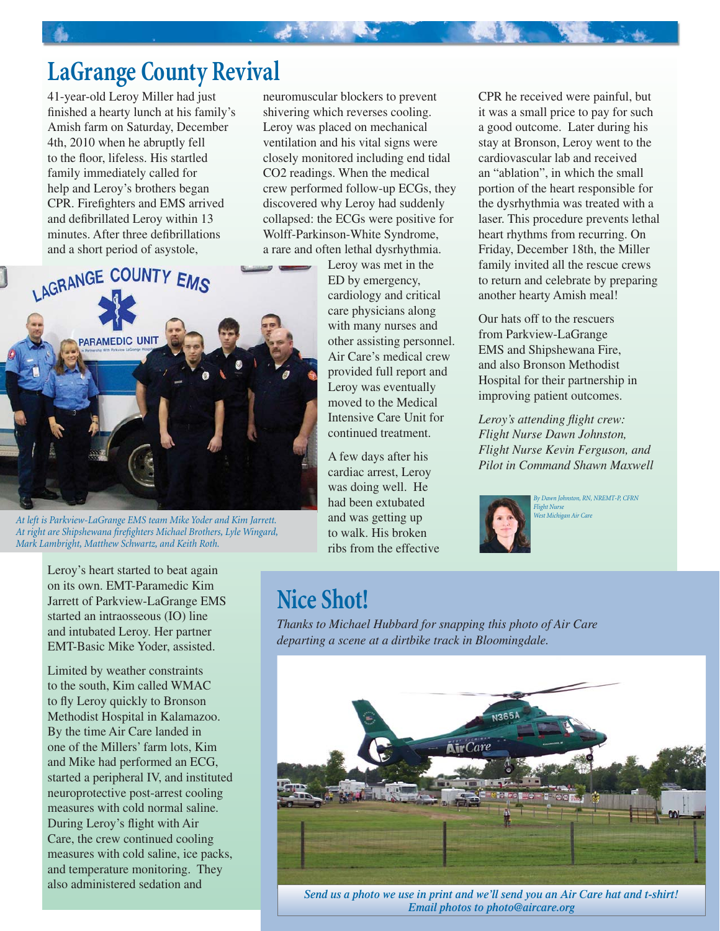## **LaGrange County Revival**

41-year-old Leroy Miller had just finished a hearty lunch at his family's Amish farm on Saturday, December 4th, 2010 when he abruptly fell to the floor, lifeless. His startled family immediately called for help and Leroy's brothers began CPR. Firefighters and EMS arrived and defibrillated Leroy within 13 minutes. After three defibrillations and a short period of asystole,

neuromuscular blockers to prevent shivering which reverses cooling. Leroy was placed on mechanical ventilation and his vital signs were closely monitored including end tidal CO2 readings. When the medical crew performed follow-up ECGs, they discovered why Leroy had suddenly collapsed: the ECGs were positive for Wolff-Parkinson-White Syndrome, a rare and often lethal dysrhythmia.



*At left is Parkview-LaGrange EMS team Mike Yoder and Kim Jarrett.*  At right are Shipshewana firefighters Michael Brothers, Lyle Wingard, *Mark Lambright, Matthew Schwartz, and Keith Roth.* 

Leroy's heart started to beat again on its own. EMT-Paramedic Kim Jarrett of Parkview-LaGrange EMS started an intraosseous (IO) line and intubated Leroy. Her partner EMT-Basic Mike Yoder, assisted.

Limited by weather constraints to the south, Kim called WMAC to fly Leroy quickly to Bronson Methodist Hospital in Kalamazoo. By the time Air Care landed in one of the Millers' farm lots, Kim and Mike had performed an ECG, started a peripheral IV, and instituted neuroprotective post-arrest cooling measures with cold normal saline. During Leroy's flight with Air Care, the crew continued cooling measures with cold saline, ice packs, and temperature monitoring. They also administered sedation and

Leroy was met in the ED by emergency, cardiology and critical care physicians along with many nurses and other assisting personnel. Air Care's medical crew provided full report and Leroy was eventually moved to the Medical Intensive Care Unit for continued treatment.

A few days after his cardiac arrest, Leroy was doing well. He had been extubated and was getting up to walk. His broken ribs from the effective CPR he received were painful, but it was a small price to pay for such a good outcome. Later during his stay at Bronson, Leroy went to the cardiovascular lab and received an "ablation", in which the small portion of the heart responsible for the dysrhythmia was treated with a laser. This procedure prevents lethal heart rhythms from recurring. On Friday, December 18th, the Miller family invited all the rescue crews to return and celebrate by preparing another hearty Amish meal!

Our hats off to the rescuers from Parkview-LaGrange EMS and Shipshewana Fire, and also Bronson Methodist Hospital for their partnership in improving patient outcomes.

*Leroy's attending flight crew: Flight Nurse Dawn Johnston, Flight Nurse Kevin Ferguson, and Pilot in Command Shawn Maxwell*



*By Dawn Johnston, RN, NREMT-P, CFRN Flight Nurse West Michigan Air Care*

## **Nice Shot!**

*Thanks to Michael Hubbard for snapping this photo of Air Care departing a scene at a dirtbike track in Bloomingdale.*



*Send us a photo we use in print and we'll send you an Air Care hat and t-shirt! Email photos to photo@aircare.org*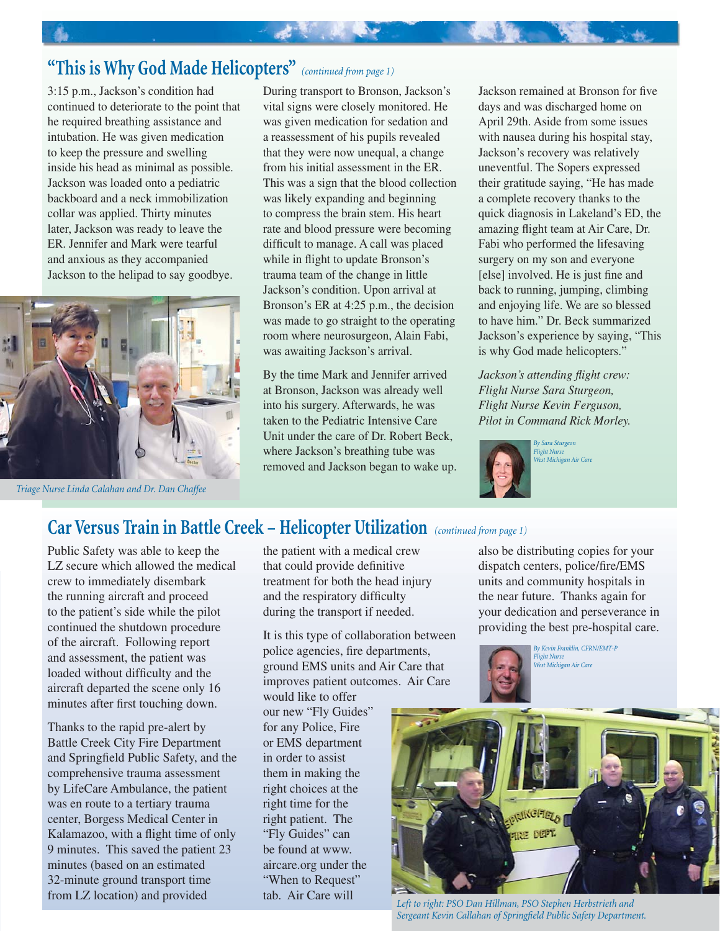### **"This is Why God Made Helicopters"** *(continued from page 1)*

3:15 p.m., Jackson's condition had continued to deteriorate to the point that he required breathing assistance and intubation. He was given medication to keep the pressure and swelling inside his head as minimal as possible. Jackson was loaded onto a pediatric backboard and a neck immobilization collar was applied. Thirty minutes later, Jackson was ready to leave the ER. Jennifer and Mark were tearful and anxious as they accompanied Jackson to the helipad to say goodbye.



*Triage Nurse Linda Calahan and Dr. Dan Chaffee*

During transport to Bronson, Jackson's vital signs were closely monitored. He was given medication for sedation and a reassessment of his pupils revealed that they were now unequal, a change from his initial assessment in the ER. This was a sign that the blood collection was likely expanding and beginning to compress the brain stem. His heart rate and blood pressure were becoming difficult to manage. A call was placed while in flight to update Bronson's trauma team of the change in little Jackson's condition. Upon arrival at Bronson's ER at 4:25 p.m., the decision was made to go straight to the operating room where neurosurgeon, Alain Fabi, was awaiting Jackson's arrival.

一、老家 人名英格兰

By the time Mark and Jennifer arrived at Bronson, Jackson was already well into his surgery. Afterwards, he was taken to the Pediatric Intensive Care Unit under the care of Dr. Robert Beck, where Jackson's breathing tube was removed and Jackson began to wake up. Jackson remained at Bronson for five days and was discharged home on April 29th. Aside from some issues with nausea during his hospital stay, Jackson's recovery was relatively uneventful. The Sopers expressed their gratitude saying, "He has made a complete recovery thanks to the quick diagnosis in Lakeland's ED, the amazing flight team at Air Care, Dr. Fabi who performed the lifesaving surgery on my son and everyone [else] involved. He is just fine and back to running, jumping, climbing and enjoying life. We are so blessed to have him." Dr. Beck summarized Jackson's experience by saying, "This is why God made helicopters."

*Jackson's attending flight crew: Flight Nurse Sara Sturgeon, Flight Nurse Kevin Ferguson, Pilot in Command Rick Morley.*



#### **Car Versus Train in Battle Creek – Helicopter Utilization** *(continued from page 1)*

Public Safety was able to keep the LZ secure which allowed the medical crew to immediately disembark the running aircraft and proceed to the patient's side while the pilot continued the shutdown procedure of the aircraft. Following report and assessment, the patient was loaded without difficulty and the aircraft departed the scene only 16 minutes after first touching down.

Thanks to the rapid pre-alert by Battle Creek City Fire Department and Springfield Public Safety, and the comprehensive trauma assessment by LifeCare Ambulance, the patient was en route to a tertiary trauma center, Borgess Medical Center in Kalamazoo, with a flight time of only 9 minutes. This saved the patient 23 minutes (based on an estimated 32-minute ground transport time from LZ location) and provided

the patient with a medical crew that could provide definitive treatment for both the head injury and the respiratory difficulty during the transport if needed.

It is this type of collaboration between police agencies, fire departments, ground EMS units and Air Care that improves patient outcomes. Air Care

would like to offer our new "Fly Guides" for any Police, Fire or EMS department in order to assist them in making the right choices at the right time for the right patient. The "Fly Guides" can be found at www. aircare.org under the "When to Request" tab. Air Care will

also be distributing copies for your dispatch centers, police/fire/EMS units and community hospitals in the near future. Thanks again for your dedication and perseverance in providing the best pre-hospital care.

> *By Kevin Franklin, CFRN/EMT-P Flight Nurse West Michigan Air Care*



*Left to right: PSO Dan Hillman, PSO Stephen Herbstrieth and* **Sergeant Kevin Callahan of Springfield Public Safety Department.**